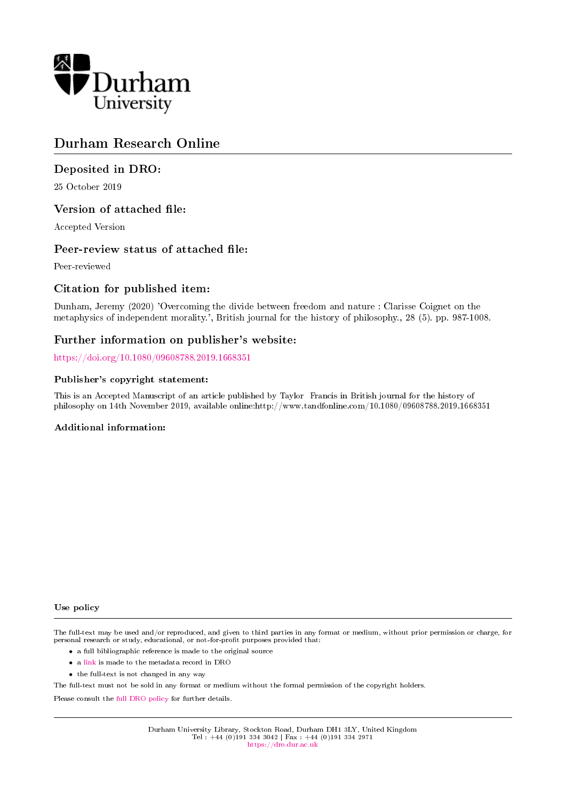

# Durham Research Online

# Deposited in DRO:

25 October 2019

# Version of attached file:

Accepted Version

# Peer-review status of attached file:

Peer-reviewed

# Citation for published item:

Dunham, Jeremy (2020) 'Overcoming the divide between freedom and nature : Clarisse Coignet on the metaphysics of independent morality.', British journal for the history of philosophy., 28 (5). pp. 987-1008.

# Further information on publisher's website:

<https://doi.org/10.1080/09608788.2019.1668351>

### Publisher's copyright statement:

This is an Accepted Manuscript of an article published by Taylor Francis in British journal for the history of philosophy on 14th November 2019, available online:http://www.tandfonline.com/10.1080/09608788.2019.1668351

### Additional information:

#### Use policy

The full-text may be used and/or reproduced, and given to third parties in any format or medium, without prior permission or charge, for personal research or study, educational, or not-for-profit purposes provided that:

- a full bibliographic reference is made to the original source
- a [link](http://dro.dur.ac.uk/29422/) is made to the metadata record in DRO
- the full-text is not changed in any way

The full-text must not be sold in any format or medium without the formal permission of the copyright holders.

Please consult the [full DRO policy](https://dro.dur.ac.uk/policies/usepolicy.pdf) for further details.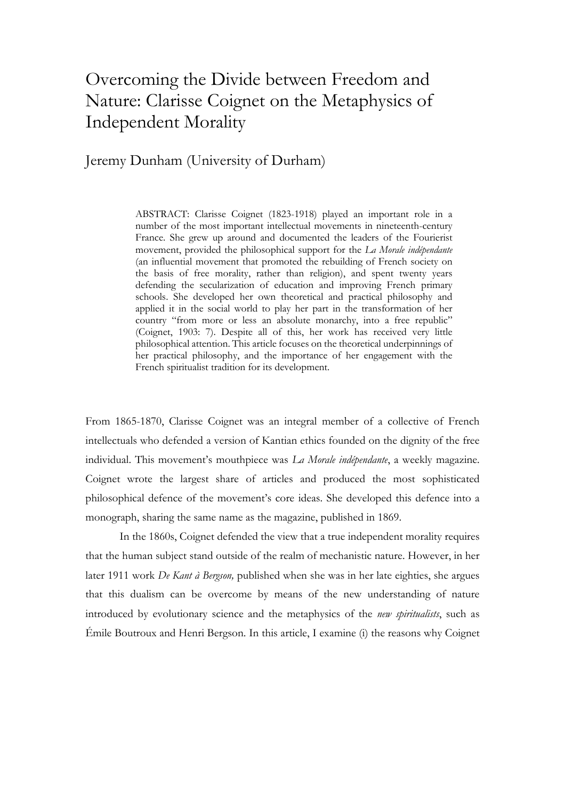# Overcoming the Divide between Freedom and Nature: Clarisse Coignet on the Metaphysics of Independent Morality

# Jeremy Dunham (University of Durham)

ABSTRACT: Clarisse Coignet (1823-1918) played an important role in a number of the most important intellectual movements in nineteenth-century France. She grew up around and documented the leaders of the Fourierist movement, provided the philosophical support for the *La Morale indépendante* (an influential movement that promoted the rebuilding of French society on the basis of free morality, rather than religion), and spent twenty years defending the secularization of education and improving French primary schools. She developed her own theoretical and practical philosophy and applied it in the social world to play her part in the transformation of her country "from more or less an absolute monarchy, into a free republic" (Coignet, 1903: 7). Despite all of this, her work has received very little philosophical attention. This article focuses on the theoretical underpinnings of her practical philosophy, and the importance of her engagement with the French spiritualist tradition for its development.

From 1865-1870, Clarisse Coignet was an integral member of a collective of French intellectuals who defended a version of Kantian ethics founded on the dignity of the free individual. This movement's mouthpiece was *La Morale indépendante*, a weekly magazine. Coignet wrote the largest share of articles and produced the most sophisticated philosophical defence of the movement's core ideas. She developed this defence into a monograph, sharing the same name as the magazine, published in 1869.

In the 1860s, Coignet defended the view that a true independent morality requires that the human subject stand outside of the realm of mechanistic nature. However, in her later 1911 work *De Kant à Bergson,* published when she was in her late eighties, she argues that this dualism can be overcome by means of the new understanding of nature introduced by evolutionary science and the metaphysics of the *new spiritualists*, such as Émile Boutroux and Henri Bergson. In this article, I examine (i) the reasons why Coignet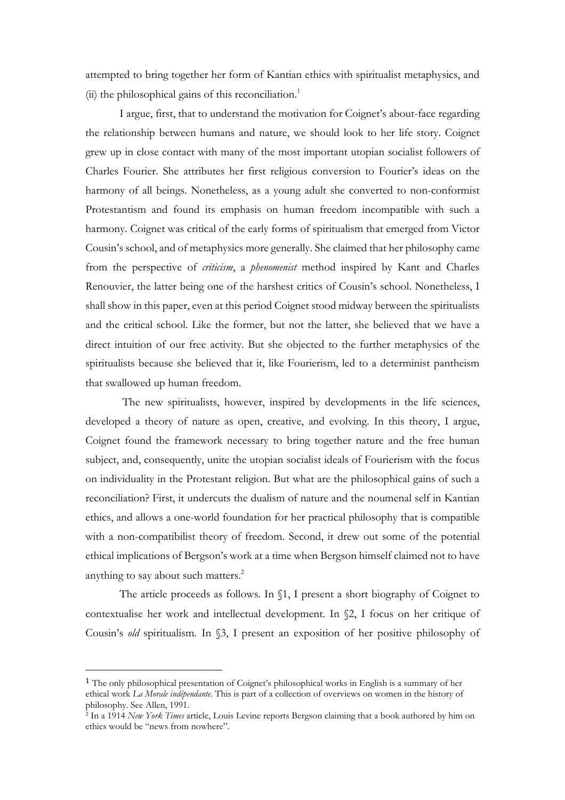attempted to bring together her form of Kantian ethics with spiritualist metaphysics, and (ii) the philosophical gains of this reconciliation.<sup>1</sup>

I argue, first, that to understand the motivation for Coignet's about-face regarding the relationship between humans and nature, we should look to her life story. Coignet grew up in close contact with many of the most important utopian socialist followers of Charles Fourier. She attributes her first religious conversion to Fourier's ideas on the harmony of all beings. Nonetheless, as a young adult she converted to non-conformist Protestantism and found its emphasis on human freedom incompatible with such a harmony. Coignet was critical of the early forms of spiritualism that emerged from Victor Cousin's school, and of metaphysics more generally. She claimed that her philosophy came from the perspective of *criticism*, a *phenomenist* method inspired by Kant and Charles Renouvier, the latter being one of the harshest critics of Cousin's school. Nonetheless, I shall show in this paper, even at this period Coignet stood midway between the spiritualists and the critical school. Like the former, but not the latter, she believed that we have a direct intuition of our free activity. But she objected to the further metaphysics of the spiritualists because she believed that it, like Fourierism, led to a determinist pantheism that swallowed up human freedom.

The new spiritualists, however, inspired by developments in the life sciences, developed a theory of nature as open, creative, and evolving. In this theory, I argue, Coignet found the framework necessary to bring together nature and the free human subject, and, consequently, unite the utopian socialist ideals of Fourierism with the focus on individuality in the Protestant religion. But what are the philosophical gains of such a reconciliation? First, it undercuts the dualism of nature and the noumenal self in Kantian ethics, and allows a one-world foundation for her practical philosophy that is compatible with a non-compatibilist theory of freedom. Second, it drew out some of the potential ethical implications of Bergson's work at a time when Bergson himself claimed not to have anything to say about such matters.<sup>2</sup>

The article proceeds as follows. In §1, I present a short biography of Coignet to contextualise her work and intellectual development. In §2, I focus on her critique of Cousin's *old* spiritualism. In §3, I present an exposition of her positive philosophy of

<sup>1</sup> The only philosophical presentation of Coignet's philosophical works in English is a summary of her ethical work *La Morale indépendante*. This is part of a collection of overviews on women in the history of philosophy. See Allen, 1991.

<sup>2</sup> In a 1914 *New York Times* article, Louis Levine reports Bergson claiming that a book authored by him on ethics would be "news from nowhere".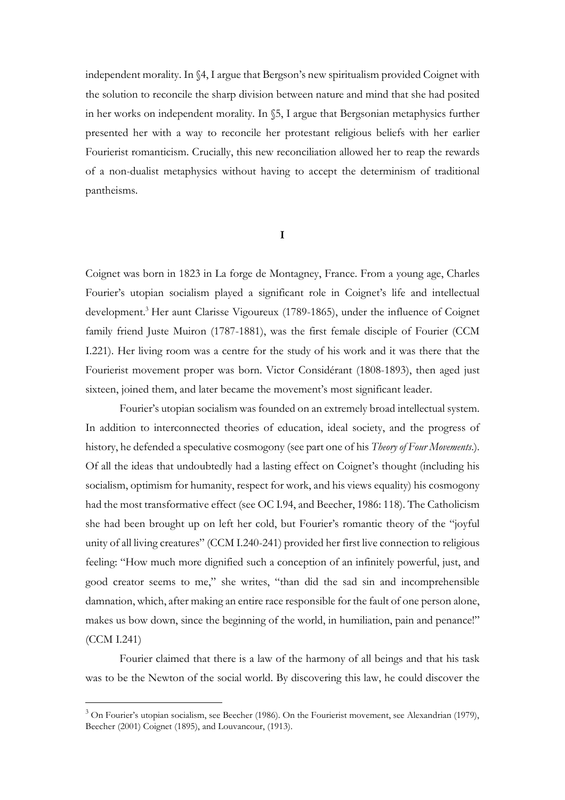independent morality. In §4, I argue that Bergson's new spiritualism provided Coignet with the solution to reconcile the sharp division between nature and mind that she had posited in her works on independent morality. In §5, I argue that Bergsonian metaphysics further presented her with a way to reconcile her protestant religious beliefs with her earlier Fourierist romanticism. Crucially, this new reconciliation allowed her to reap the rewards of a non-dualist metaphysics without having to accept the determinism of traditional pantheisms.

## **I**

Coignet was born in 1823 in La forge de Montagney, France. From a young age, Charles Fourier's utopian socialism played a significant role in Coignet's life and intellectual development.<sup>3</sup> Her aunt Clarisse Vigoureux (1789-1865), under the influence of Coignet family friend Juste Muiron (1787-1881), was the first female disciple of Fourier (CCM I.221). Her living room was a centre for the study of his work and it was there that the Fourierist movement proper was born. Victor Considérant (1808-1893), then aged just sixteen, joined them, and later became the movement's most significant leader.

Fourier's utopian socialism was founded on an extremely broad intellectual system. In addition to interconnected theories of education, ideal society, and the progress of history, he defended a speculative cosmogony (see part one of his *Theory of Four Movements*.). Of all the ideas that undoubtedly had a lasting effect on Coignet's thought (including his socialism, optimism for humanity, respect for work, and his views equality) his cosmogony had the most transformative effect (see OC I.94, and Beecher, 1986: 118). The Catholicism she had been brought up on left her cold, but Fourier's romantic theory of the "joyful unity of all living creatures" (CCM I.240-241) provided her first live connection to religious feeling: "How much more dignified such a conception of an infinitely powerful, just, and good creator seems to me," she writes, "than did the sad sin and incomprehensible damnation, which, after making an entire race responsible for the fault of one person alone, makes us bow down, since the beginning of the world, in humiliation, pain and penance!" (CCM I.241)

Fourier claimed that there is a law of the harmony of all beings and that his task was to be the Newton of the social world. By discovering this law, he could discover the

 $3$  On Fourier's utopian socialism, see Beecher (1986). On the Fourierist movement, see Alexandrian (1979), Beecher (2001) Coignet (1895), and Louvancour, (1913).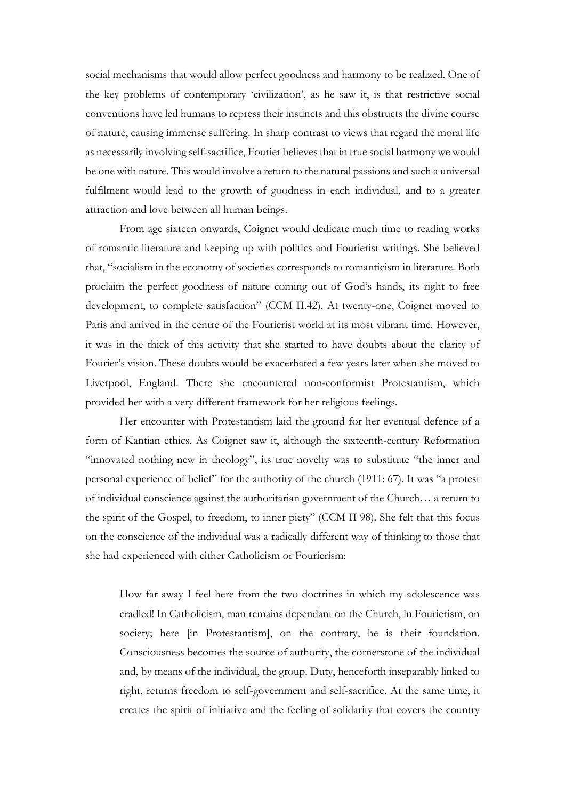social mechanisms that would allow perfect goodness and harmony to be realized. One of the key problems of contemporary 'civilization', as he saw it, is that restrictive social conventions have led humans to repress their instincts and this obstructs the divine course of nature, causing immense suffering. In sharp contrast to views that regard the moral life as necessarily involving self-sacrifice, Fourier believes that in true social harmony we would be one with nature. This would involve a return to the natural passions and such a universal fulfilment would lead to the growth of goodness in each individual, and to a greater attraction and love between all human beings.

From age sixteen onwards, Coignet would dedicate much time to reading works of romantic literature and keeping up with politics and Fourierist writings. She believed that, "socialism in the economy of societies corresponds to romanticism in literature. Both proclaim the perfect goodness of nature coming out of God's hands, its right to free development, to complete satisfaction" (CCM II.42). At twenty-one, Coignet moved to Paris and arrived in the centre of the Fourierist world at its most vibrant time. However, it was in the thick of this activity that she started to have doubts about the clarity of Fourier's vision. These doubts would be exacerbated a few years later when she moved to Liverpool, England. There she encountered non-conformist Protestantism, which provided her with a very different framework for her religious feelings.

Her encounter with Protestantism laid the ground for her eventual defence of a form of Kantian ethics. As Coignet saw it, although the sixteenth-century Reformation "innovated nothing new in theology", its true novelty was to substitute "the inner and personal experience of belief" for the authority of the church (1911: 67). It was "a protest of individual conscience against the authoritarian government of the Church… a return to the spirit of the Gospel, to freedom, to inner piety" (CCM II 98). She felt that this focus on the conscience of the individual was a radically different way of thinking to those that she had experienced with either Catholicism or Fourierism:

How far away I feel here from the two doctrines in which my adolescence was cradled! In Catholicism, man remains dependant on the Church, in Fourierism, on society; here [in Protestantism], on the contrary, he is their foundation. Consciousness becomes the source of authority, the cornerstone of the individual and, by means of the individual, the group. Duty, henceforth inseparably linked to right, returns freedom to self-government and self-sacrifice. At the same time, it creates the spirit of initiative and the feeling of solidarity that covers the country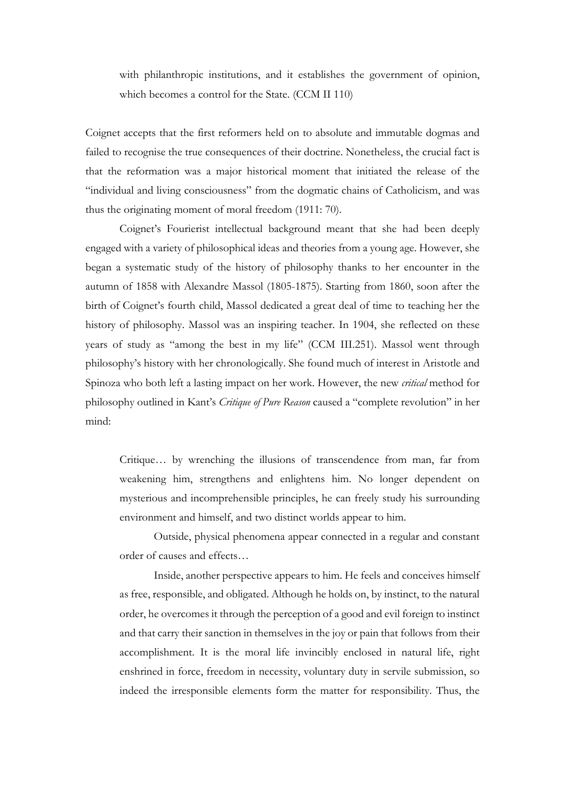with philanthropic institutions, and it establishes the government of opinion, which becomes a control for the State. (CCM II 110)

Coignet accepts that the first reformers held on to absolute and immutable dogmas and failed to recognise the true consequences of their doctrine. Nonetheless, the crucial fact is that the reformation was a major historical moment that initiated the release of the "individual and living consciousness" from the dogmatic chains of Catholicism, and was thus the originating moment of moral freedom (1911: 70).

Coignet's Fourierist intellectual background meant that she had been deeply engaged with a variety of philosophical ideas and theories from a young age. However, she began a systematic study of the history of philosophy thanks to her encounter in the autumn of 1858 with Alexandre Massol (1805-1875). Starting from 1860, soon after the birth of Coignet's fourth child, Massol dedicated a great deal of time to teaching her the history of philosophy. Massol was an inspiring teacher. In 1904, she reflected on these years of study as "among the best in my life" (CCM III.251). Massol went through philosophy's history with her chronologically. She found much of interest in Aristotle and Spinoza who both left a lasting impact on her work. However, the new *critical* method for philosophy outlined in Kant's *Critique of Pure Reason* caused a "complete revolution" in her mind:

Critique… by wrenching the illusions of transcendence from man, far from weakening him, strengthens and enlightens him. No longer dependent on mysterious and incomprehensible principles, he can freely study his surrounding environment and himself, and two distinct worlds appear to him.

Outside, physical phenomena appear connected in a regular and constant order of causes and effects…

Inside, another perspective appears to him. He feels and conceives himself as free, responsible, and obligated. Although he holds on, by instinct, to the natural order, he overcomes it through the perception of a good and evil foreign to instinct and that carry their sanction in themselves in the joy or pain that follows from their accomplishment. It is the moral life invincibly enclosed in natural life, right enshrined in force, freedom in necessity, voluntary duty in servile submission, so indeed the irresponsible elements form the matter for responsibility. Thus, the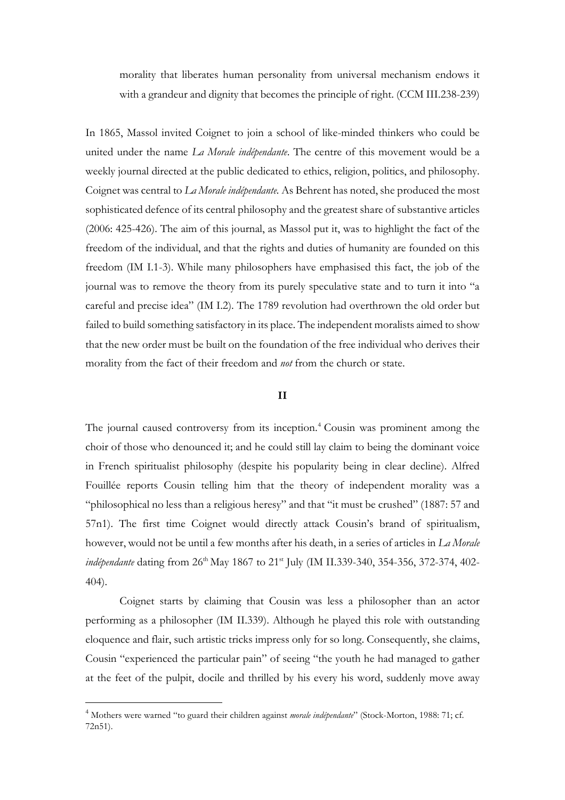morality that liberates human personality from universal mechanism endows it with a grandeur and dignity that becomes the principle of right. (CCM III.238-239)

In 1865, Massol invited Coignet to join a school of like-minded thinkers who could be united under the name *La Morale indépendante*. The centre of this movement would be a weekly journal directed at the public dedicated to ethics, religion, politics, and philosophy. Coignet was central to *La Morale indépendante.* As Behrent has noted, she produced the most sophisticated defence of its central philosophy and the greatest share of substantive articles (2006: 425-426). The aim of this journal, as Massol put it, was to highlight the fact of the freedom of the individual, and that the rights and duties of humanity are founded on this freedom (IM I.1-3). While many philosophers have emphasised this fact, the job of the journal was to remove the theory from its purely speculative state and to turn it into "a careful and precise idea" (IM I.2). The 1789 revolution had overthrown the old order but failed to build something satisfactory in its place. The independent moralists aimed to show that the new order must be built on the foundation of the free individual who derives their morality from the fact of their freedom and *not* from the church or state.

### **II**

The journal caused controversy from its inception.<sup>4</sup> Cousin was prominent among the choir of those who denounced it; and he could still lay claim to being the dominant voice in French spiritualist philosophy (despite his popularity being in clear decline). Alfred Fouillée reports Cousin telling him that the theory of independent morality was a "philosophical no less than a religious heresy" and that "it must be crushed" (1887: 57 and 57n1). The first time Coignet would directly attack Cousin's brand of spiritualism, however, would not be until a few months after his death, in a series of articles in *La Morale indépendante* dating from 26<sup>th</sup> May 1867 to 21<sup>st</sup> July (IM II.339-340, 354-356, 372-374, 402-404).

Coignet starts by claiming that Cousin was less a philosopher than an actor performing as a philosopher (IM II.339). Although he played this role with outstanding eloquence and flair, such artistic tricks impress only for so long. Consequently, she claims, Cousin "experienced the particular pain" of seeing "the youth he had managed to gather at the feet of the pulpit, docile and thrilled by his every his word, suddenly move away

<sup>4</sup> Mothers were warned "to guard their children against *morale indépendante*" (Stock-Morton, 1988: 71; cf. 72n51).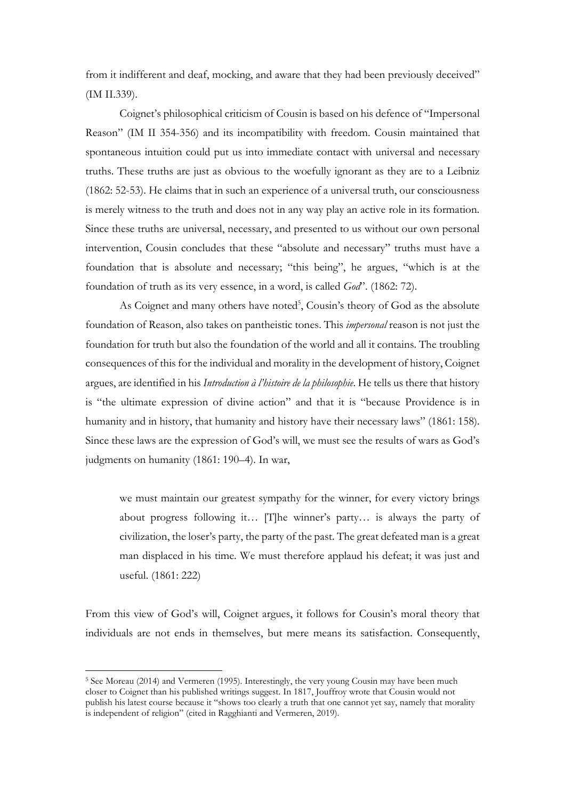from it indifferent and deaf, mocking, and aware that they had been previously deceived" (IM II.339).

Coignet's philosophical criticism of Cousin is based on his defence of "Impersonal Reason" (IM II 354-356) and its incompatibility with freedom. Cousin maintained that spontaneous intuition could put us into immediate contact with universal and necessary truths. These truths are just as obvious to the woefully ignorant as they are to a Leibniz (1862: 52-53). He claims that in such an experience of a universal truth, our consciousness is merely witness to the truth and does not in any way play an active role in its formation. Since these truths are universal, necessary, and presented to us without our own personal intervention, Cousin concludes that these "absolute and necessary" truths must have a foundation that is absolute and necessary; "this being", he argues, "which is at the foundation of truth as its very essence, in a word, is called *God*". (1862: 72).

As Coignet and many others have noted<sup>5</sup>, Cousin's theory of God as the absolute foundation of Reason, also takes on pantheistic tones. This *impersonal* reason is not just the foundation for truth but also the foundation of the world and all it contains. The troubling consequences of this for the individual and morality in the development of history, Coignet argues, are identified in his *Introduction à l'histoire de la philosophie*. He tells us there that history is "the ultimate expression of divine action" and that it is "because Providence is in humanity and in history, that humanity and history have their necessary laws" (1861: 158). Since these laws are the expression of God's will, we must see the results of wars as God's judgments on humanity (1861: 190–4). In war,

we must maintain our greatest sympathy for the winner, for every victory brings about progress following it… [T]he winner's party… is always the party of civilization, the loser's party, the party of the past. The great defeated man is a great man displaced in his time. We must therefore applaud his defeat; it was just and useful. (1861: 222)

From this view of God's will, Coignet argues, it follows for Cousin's moral theory that individuals are not ends in themselves, but mere means its satisfaction. Consequently,

<sup>5</sup> See Moreau (2014) and Vermeren (1995). Interestingly, the very young Cousin may have been much closer to Coignet than his published writings suggest. In 1817, Jouffroy wrote that Cousin would not publish his latest course because it "shows too clearly a truth that one cannot yet say, namely that morality is independent of religion" (cited in Ragghianti and Vermeren, 2019).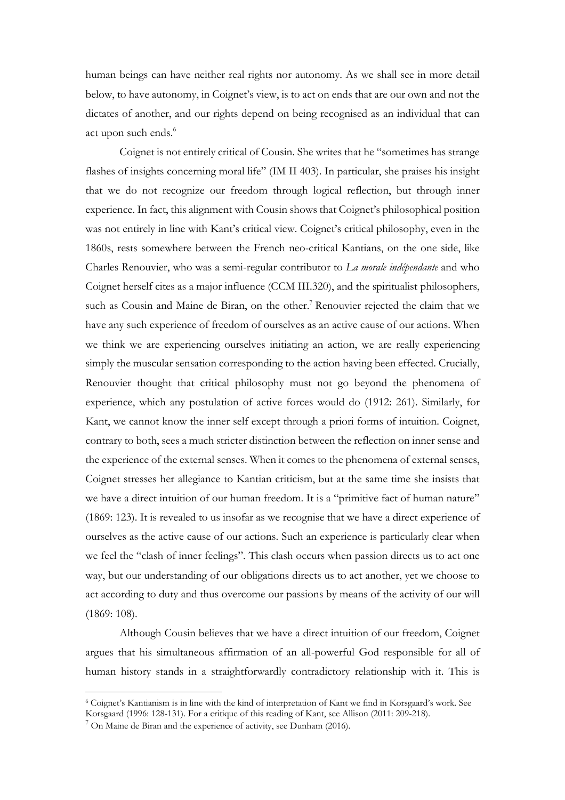human beings can have neither real rights nor autonomy. As we shall see in more detail below, to have autonomy, in Coignet's view, is to act on ends that are our own and not the dictates of another, and our rights depend on being recognised as an individual that can act upon such ends.<sup>6</sup>

Coignet is not entirely critical of Cousin. She writes that he "sometimes has strange flashes of insights concerning moral life" (IM II 403). In particular, she praises his insight that we do not recognize our freedom through logical reflection, but through inner experience. In fact, this alignment with Cousin shows that Coignet's philosophical position was not entirely in line with Kant's critical view. Coignet's critical philosophy, even in the 1860s, rests somewhere between the French neo-critical Kantians, on the one side, like Charles Renouvier, who was a semi-regular contributor to *La morale indépendante* and who Coignet herself cites as a major influence (CCM III.320), and the spiritualist philosophers, such as Cousin and Maine de Biran, on the other.<sup>7</sup> Renouvier rejected the claim that we have any such experience of freedom of ourselves as an active cause of our actions. When we think we are experiencing ourselves initiating an action, we are really experiencing simply the muscular sensation corresponding to the action having been effected. Crucially, Renouvier thought that critical philosophy must not go beyond the phenomena of experience, which any postulation of active forces would do (1912: 261). Similarly, for Kant, we cannot know the inner self except through a priori forms of intuition. Coignet, contrary to both, sees a much stricter distinction between the reflection on inner sense and the experience of the external senses. When it comes to the phenomena of external senses, Coignet stresses her allegiance to Kantian criticism, but at the same time she insists that we have a direct intuition of our human freedom. It is a "primitive fact of human nature" (1869: 123). It is revealed to us insofar as we recognise that we have a direct experience of ourselves as the active cause of our actions. Such an experience is particularly clear when we feel the "clash of inner feelings". This clash occurs when passion directs us to act one way, but our understanding of our obligations directs us to act another, yet we choose to act according to duty and thus overcome our passions by means of the activity of our will (1869: 108).

Although Cousin believes that we have a direct intuition of our freedom, Coignet argues that his simultaneous affirmation of an all-powerful God responsible for all of human history stands in a straightforwardly contradictory relationship with it. This is

 $\overline{a}$ <sup>6</sup> Coignet's Kantianism is in line with the kind of interpretation of Kant we find in Korsgaard's work. See Korsgaard (1996: 128-131). For a critique of this reading of Kant, see Allison (2011: 209-218).

 $<sup>7</sup>$  On Maine de Biran and the experience of activity, see Dunham (2016).</sup>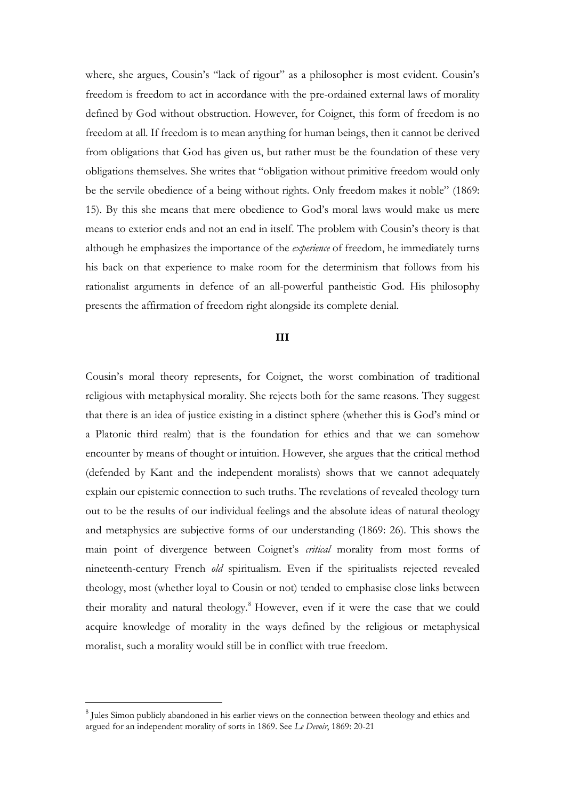where, she argues, Cousin's "lack of rigour" as a philosopher is most evident. Cousin's freedom is freedom to act in accordance with the pre-ordained external laws of morality defined by God without obstruction. However, for Coignet, this form of freedom is no freedom at all. If freedom is to mean anything for human beings, then it cannot be derived from obligations that God has given us, but rather must be the foundation of these very obligations themselves. She writes that "obligation without primitive freedom would only be the servile obedience of a being without rights. Only freedom makes it noble" (1869: 15). By this she means that mere obedience to God's moral laws would make us mere means to exterior ends and not an end in itself. The problem with Cousin's theory is that although he emphasizes the importance of the *experience* of freedom, he immediately turns his back on that experience to make room for the determinism that follows from his rationalist arguments in defence of an all-powerful pantheistic God. His philosophy presents the affirmation of freedom right alongside its complete denial.

### **III**

Cousin's moral theory represents, for Coignet, the worst combination of traditional religious with metaphysical morality. She rejects both for the same reasons. They suggest that there is an idea of justice existing in a distinct sphere (whether this is God's mind or a Platonic third realm) that is the foundation for ethics and that we can somehow encounter by means of thought or intuition. However, she argues that the critical method (defended by Kant and the independent moralists) shows that we cannot adequately explain our epistemic connection to such truths. The revelations of revealed theology turn out to be the results of our individual feelings and the absolute ideas of natural theology and metaphysics are subjective forms of our understanding (1869: 26). This shows the main point of divergence between Coignet's *critical* morality from most forms of nineteenth-century French *old* spiritualism. Even if the spiritualists rejected revealed theology, most (whether loyal to Cousin or not) tended to emphasise close links between their morality and natural theology.<sup>8</sup> However, even if it were the case that we could acquire knowledge of morality in the ways defined by the religious or metaphysical moralist, such a morality would still be in conflict with true freedom.

<sup>&</sup>lt;sup>8</sup> Jules Simon publicly abandoned in his earlier views on the connection between theology and ethics and argued for an independent morality of sorts in 1869. See *Le Devoir*, 1869: 20-21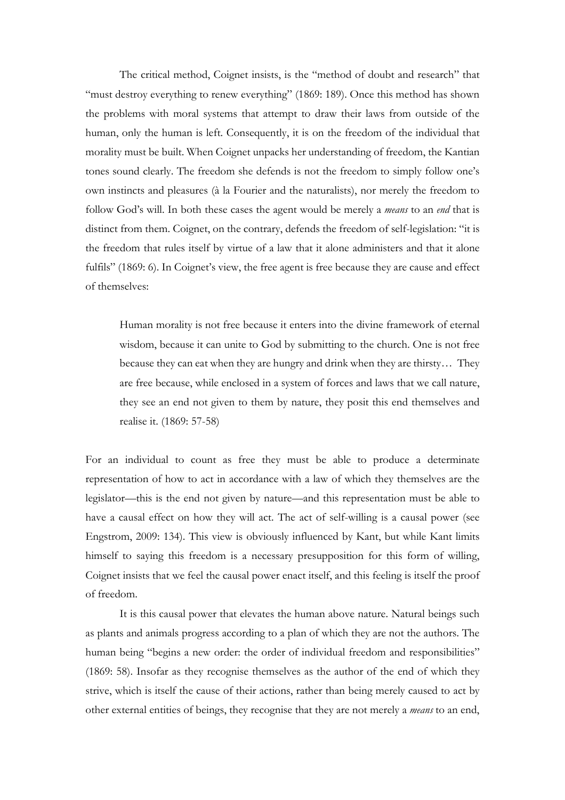The critical method, Coignet insists, is the "method of doubt and research" that "must destroy everything to renew everything" (1869: 189). Once this method has shown the problems with moral systems that attempt to draw their laws from outside of the human, only the human is left. Consequently, it is on the freedom of the individual that morality must be built. When Coignet unpacks her understanding of freedom, the Kantian tones sound clearly. The freedom she defends is not the freedom to simply follow one's own instincts and pleasures (à la Fourier and the naturalists), nor merely the freedom to follow God's will. In both these cases the agent would be merely a *means* to an *end* that is distinct from them. Coignet, on the contrary, defends the freedom of self-legislation: "it is the freedom that rules itself by virtue of a law that it alone administers and that it alone fulfils" (1869: 6). In Coignet's view, the free agent is free because they are cause and effect of themselves:

Human morality is not free because it enters into the divine framework of eternal wisdom, because it can unite to God by submitting to the church. One is not free because they can eat when they are hungry and drink when they are thirsty… They are free because, while enclosed in a system of forces and laws that we call nature, they see an end not given to them by nature, they posit this end themselves and realise it. (1869: 57-58)

For an individual to count as free they must be able to produce a determinate representation of how to act in accordance with a law of which they themselves are the legislator—this is the end not given by nature—and this representation must be able to have a causal effect on how they will act. The act of self-willing is a causal power (see Engstrom, 2009: 134). This view is obviously influenced by Kant, but while Kant limits himself to saying this freedom is a necessary presupposition for this form of willing, Coignet insists that we feel the causal power enact itself, and this feeling is itself the proof of freedom.

It is this causal power that elevates the human above nature. Natural beings such as plants and animals progress according to a plan of which they are not the authors. The human being "begins a new order: the order of individual freedom and responsibilities" (1869: 58). Insofar as they recognise themselves as the author of the end of which they strive, which is itself the cause of their actions, rather than being merely caused to act by other external entities of beings, they recognise that they are not merely a *means* to an end,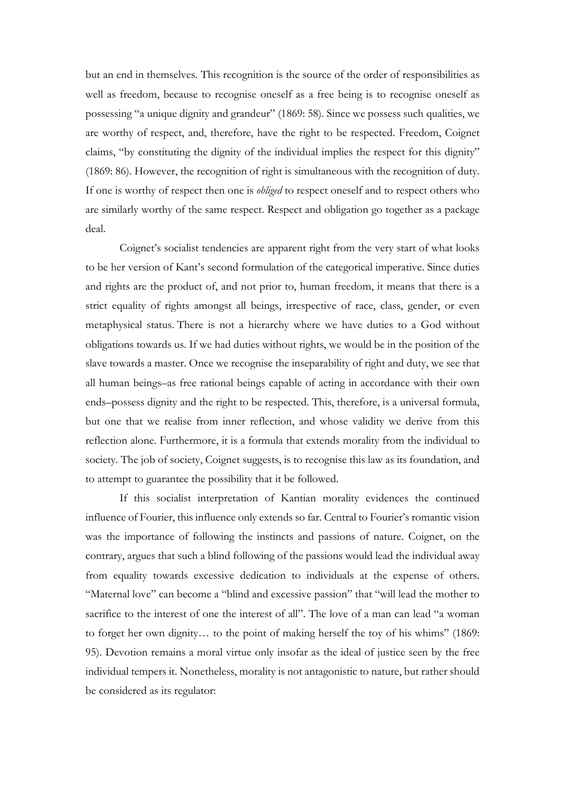but an end in themselves. This recognition is the source of the order of responsibilities as well as freedom, because to recognise oneself as a free being is to recognise oneself as possessing "a unique dignity and grandeur" (1869: 58). Since we possess such qualities, we are worthy of respect, and, therefore, have the right to be respected. Freedom, Coignet claims, "by constituting the dignity of the individual implies the respect for this dignity" (1869: 86). However, the recognition of right is simultaneous with the recognition of duty. If one is worthy of respect then one is *obliged* to respect oneself and to respect others who are similarly worthy of the same respect. Respect and obligation go together as a package deal.

Coignet's socialist tendencies are apparent right from the very start of what looks to be her version of Kant's second formulation of the categorical imperative. Since duties and rights are the product of, and not prior to, human freedom, it means that there is a strict equality of rights amongst all beings, irrespective of race, class, gender, or even metaphysical status. There is not a hierarchy where we have duties to a God without obligations towards us. If we had duties without rights, we would be in the position of the slave towards a master. Once we recognise the inseparability of right and duty, we see that all human beings–as free rational beings capable of acting in accordance with their own ends–possess dignity and the right to be respected. This, therefore, is a universal formula, but one that we realise from inner reflection, and whose validity we derive from this reflection alone. Furthermore, it is a formula that extends morality from the individual to society. The job of society, Coignet suggests, is to recognise this law as its foundation, and to attempt to guarantee the possibility that it be followed.

If this socialist interpretation of Kantian morality evidences the continued influence of Fourier, this influence only extends so far. Central to Fourier's romantic vision was the importance of following the instincts and passions of nature. Coignet, on the contrary, argues that such a blind following of the passions would lead the individual away from equality towards excessive dedication to individuals at the expense of others. "Maternal love" can become a "blind and excessive passion" that "will lead the mother to sacrifice to the interest of one the interest of all". The love of a man can lead "a woman to forget her own dignity… to the point of making herself the toy of his whims" (1869: 95). Devotion remains a moral virtue only insofar as the ideal of justice seen by the free individual tempers it. Nonetheless, morality is not antagonistic to nature, but rather should be considered as its regulator: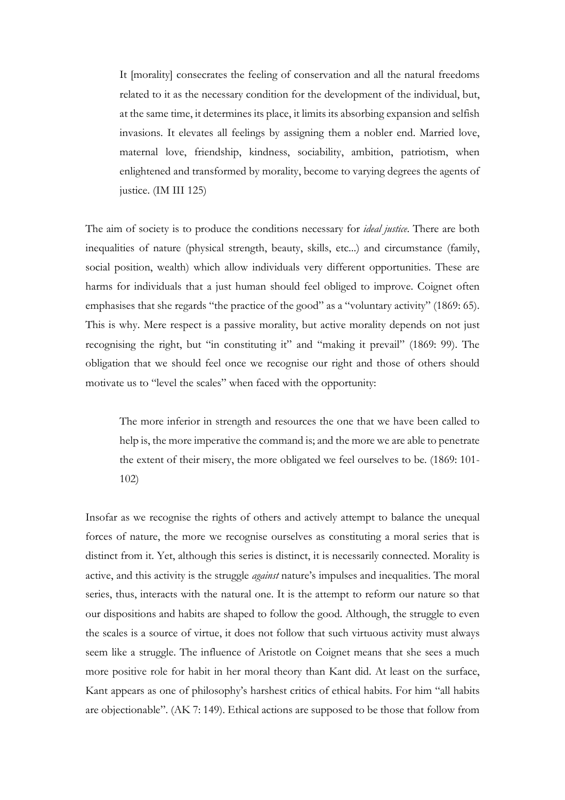It [morality] consecrates the feeling of conservation and all the natural freedoms related to it as the necessary condition for the development of the individual, but, at the same time, it determines its place, it limits its absorbing expansion and selfish invasions. It elevates all feelings by assigning them a nobler end. Married love, maternal love, friendship, kindness, sociability, ambition, patriotism, when enlightened and transformed by morality, become to varying degrees the agents of justice. (IM III 125)

The aim of society is to produce the conditions necessary for *ideal justice*. There are both inequalities of nature (physical strength, beauty, skills, etc...) and circumstance (family, social position, wealth) which allow individuals very different opportunities. These are harms for individuals that a just human should feel obliged to improve. Coignet often emphasises that she regards "the practice of the good" as a "voluntary activity" (1869: 65). This is why. Mere respect is a passive morality, but active morality depends on not just recognising the right, but "in constituting it" and "making it prevail" (1869: 99). The obligation that we should feel once we recognise our right and those of others should motivate us to "level the scales" when faced with the opportunity:

The more inferior in strength and resources the one that we have been called to help is, the more imperative the command is; and the more we are able to penetrate the extent of their misery, the more obligated we feel ourselves to be. (1869: 101- 102)

Insofar as we recognise the rights of others and actively attempt to balance the unequal forces of nature, the more we recognise ourselves as constituting a moral series that is distinct from it. Yet, although this series is distinct, it is necessarily connected. Morality is active, and this activity is the struggle *against* nature's impulses and inequalities. The moral series, thus, interacts with the natural one. It is the attempt to reform our nature so that our dispositions and habits are shaped to follow the good. Although, the struggle to even the scales is a source of virtue, it does not follow that such virtuous activity must always seem like a struggle. The influence of Aristotle on Coignet means that she sees a much more positive role for habit in her moral theory than Kant did. At least on the surface, Kant appears as one of philosophy's harshest critics of ethical habits. For him "all habits are objectionable". (AK 7: 149). Ethical actions are supposed to be those that follow from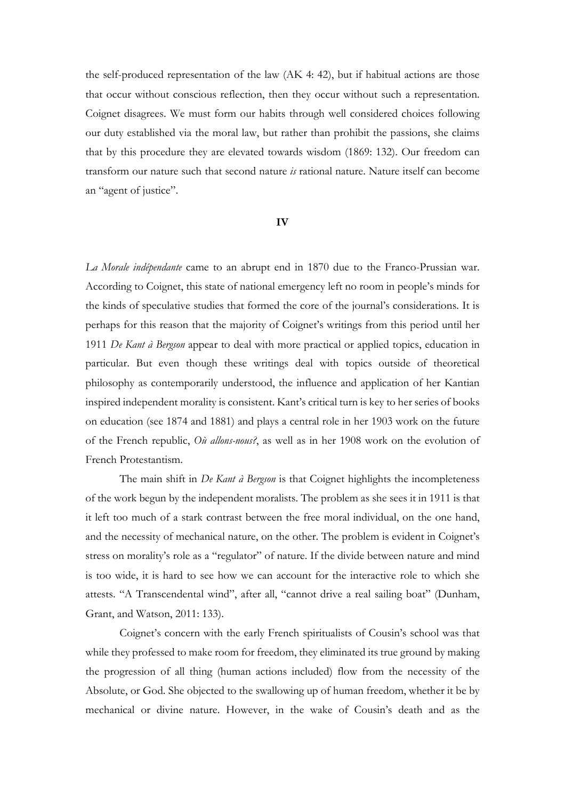the self-produced representation of the law (AK 4: 42), but if habitual actions are those that occur without conscious reflection, then they occur without such a representation. Coignet disagrees. We must form our habits through well considered choices following our duty established via the moral law, but rather than prohibit the passions, she claims that by this procedure they are elevated towards wisdom (1869: 132). Our freedom can transform our nature such that second nature *is* rational nature. Nature itself can become an "agent of justice".

### **IV**

*La Morale indépendante* came to an abrupt end in 1870 due to the Franco-Prussian war. According to Coignet, this state of national emergency left no room in people's minds for the kinds of speculative studies that formed the core of the journal's considerations. It is perhaps for this reason that the majority of Coignet's writings from this period until her 1911 *De Kant à Bergson* appear to deal with more practical or applied topics, education in particular. But even though these writings deal with topics outside of theoretical philosophy as contemporarily understood, the influence and application of her Kantian inspired independent morality is consistent. Kant's critical turn is key to her series of books on education (see 1874 and 1881) and plays a central role in her 1903 work on the future of the French republic, *Où allons-nous?*, as well as in her 1908 work on the evolution of French Protestantism.

The main shift in *De Kant à Bergson* is that Coignet highlights the incompleteness of the work begun by the independent moralists. The problem as she sees it in 1911 is that it left too much of a stark contrast between the free moral individual, on the one hand, and the necessity of mechanical nature, on the other. The problem is evident in Coignet's stress on morality's role as a "regulator" of nature. If the divide between nature and mind is too wide, it is hard to see how we can account for the interactive role to which she attests. "A Transcendental wind", after all, "cannot drive a real sailing boat" (Dunham, Grant, and Watson, 2011: 133).

Coignet's concern with the early French spiritualists of Cousin's school was that while they professed to make room for freedom, they eliminated its true ground by making the progression of all thing (human actions included) flow from the necessity of the Absolute, or God. She objected to the swallowing up of human freedom, whether it be by mechanical or divine nature. However, in the wake of Cousin's death and as the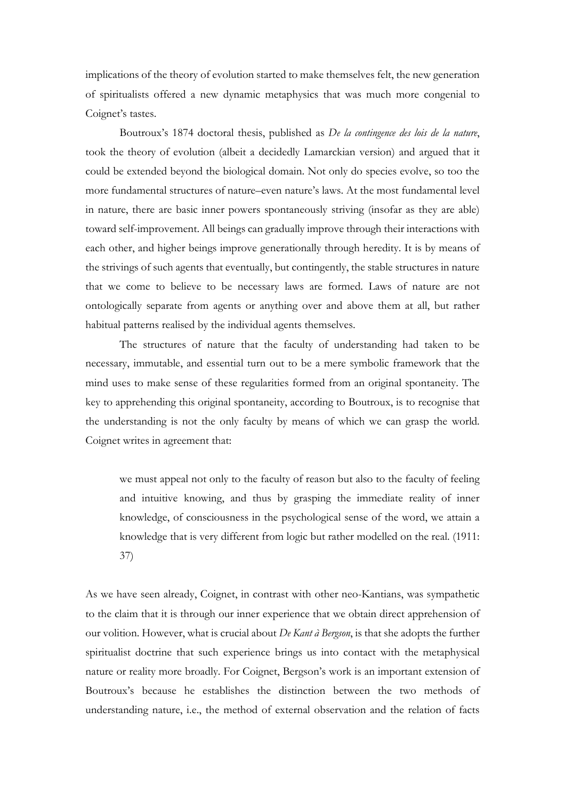implications of the theory of evolution started to make themselves felt, the new generation of spiritualists offered a new dynamic metaphysics that was much more congenial to Coignet's tastes.

Boutroux's 1874 doctoral thesis, published as *De la contingence des lois de la nature*, took the theory of evolution (albeit a decidedly Lamarckian version) and argued that it could be extended beyond the biological domain. Not only do species evolve, so too the more fundamental structures of nature–even nature's laws. At the most fundamental level in nature, there are basic inner powers spontaneously striving (insofar as they are able) toward self-improvement. All beings can gradually improve through their interactions with each other, and higher beings improve generationally through heredity. It is by means of the strivings of such agents that eventually, but contingently, the stable structures in nature that we come to believe to be necessary laws are formed. Laws of nature are not ontologically separate from agents or anything over and above them at all, but rather habitual patterns realised by the individual agents themselves.

The structures of nature that the faculty of understanding had taken to be necessary, immutable, and essential turn out to be a mere symbolic framework that the mind uses to make sense of these regularities formed from an original spontaneity. The key to apprehending this original spontaneity, according to Boutroux, is to recognise that the understanding is not the only faculty by means of which we can grasp the world. Coignet writes in agreement that:

we must appeal not only to the faculty of reason but also to the faculty of feeling and intuitive knowing, and thus by grasping the immediate reality of inner knowledge, of consciousness in the psychological sense of the word, we attain a knowledge that is very different from logic but rather modelled on the real. (1911: 37)

As we have seen already, Coignet, in contrast with other neo-Kantians, was sympathetic to the claim that it is through our inner experience that we obtain direct apprehension of our volition. However, what is crucial about *De Kant à Bergson*, is that she adopts the further spiritualist doctrine that such experience brings us into contact with the metaphysical nature or reality more broadly. For Coignet, Bergson's work is an important extension of Boutroux's because he establishes the distinction between the two methods of understanding nature, i.e., the method of external observation and the relation of facts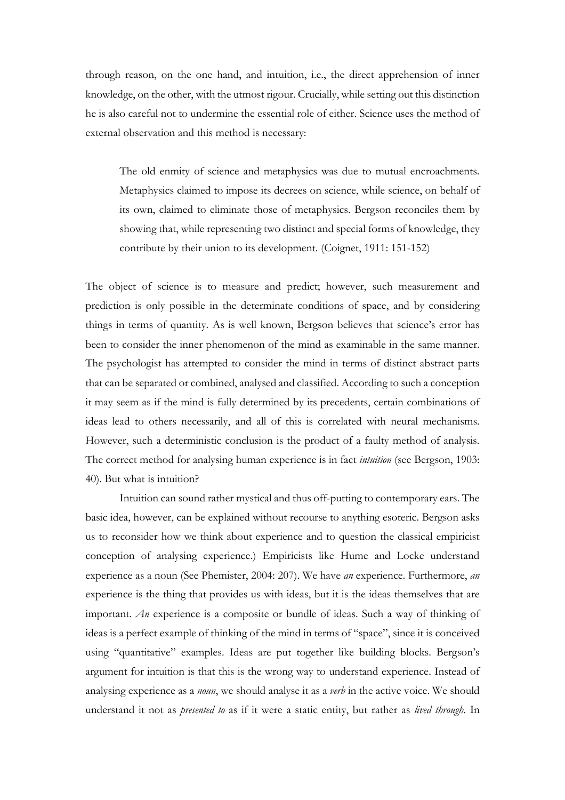through reason, on the one hand, and intuition, i.e., the direct apprehension of inner knowledge, on the other, with the utmost rigour. Crucially, while setting out this distinction he is also careful not to undermine the essential role of either. Science uses the method of external observation and this method is necessary:

The old enmity of science and metaphysics was due to mutual encroachments. Metaphysics claimed to impose its decrees on science, while science, on behalf of its own, claimed to eliminate those of metaphysics. Bergson reconciles them by showing that, while representing two distinct and special forms of knowledge, they contribute by their union to its development. (Coignet, 1911: 151-152)

The object of science is to measure and predict; however, such measurement and prediction is only possible in the determinate conditions of space, and by considering things in terms of quantity. As is well known, Bergson believes that science's error has been to consider the inner phenomenon of the mind as examinable in the same manner. The psychologist has attempted to consider the mind in terms of distinct abstract parts that can be separated or combined, analysed and classified. According to such a conception it may seem as if the mind is fully determined by its precedents, certain combinations of ideas lead to others necessarily, and all of this is correlated with neural mechanisms. However, such a deterministic conclusion is the product of a faulty method of analysis. The correct method for analysing human experience is in fact *intuition* (see Bergson, 1903: 40). But what is intuition?

Intuition can sound rather mystical and thus off-putting to contemporary ears. The basic idea, however, can be explained without recourse to anything esoteric. Bergson asks us to reconsider how we think about experience and to question the classical empiricist conception of analysing experience.) Empiricists like Hume and Locke understand experience as a noun (See Phemister, 2004: 207). We have *an* experience. Furthermore, *an* experience is the thing that provides us with ideas, but it is the ideas themselves that are important. *An* experience is a composite or bundle of ideas. Such a way of thinking of ideas is a perfect example of thinking of the mind in terms of "space", since it is conceived using "quantitative" examples. Ideas are put together like building blocks. Bergson's argument for intuition is that this is the wrong way to understand experience. Instead of analysing experience as a *noun*, we should analyse it as a *verb* in the active voice. We should understand it not as *presented to* as if it were a static entity, but rather as *lived through*. In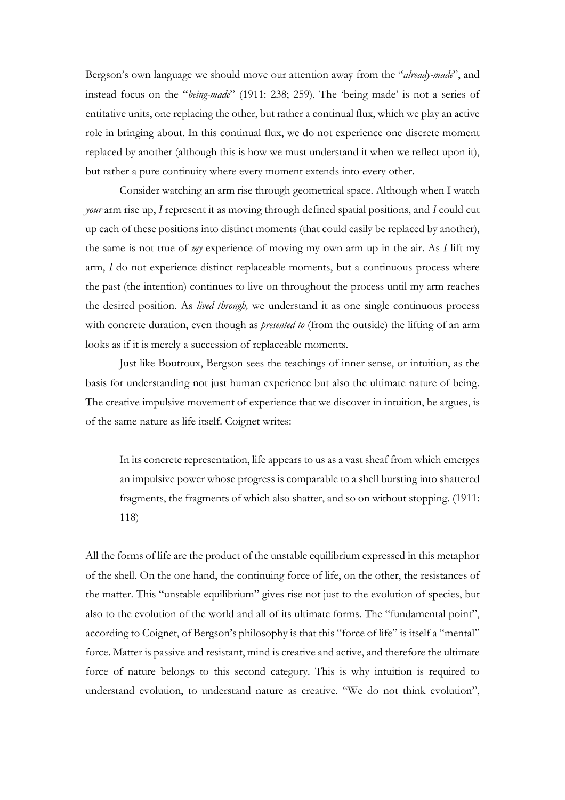Bergson's own language we should move our attention away from the "*already-made*", and instead focus on the "*being-made*" (1911: 238; 259). The 'being made' is not a series of entitative units, one replacing the other, but rather a continual flux, which we play an active role in bringing about. In this continual flux, we do not experience one discrete moment replaced by another (although this is how we must understand it when we reflect upon it), but rather a pure continuity where every moment extends into every other.

Consider watching an arm rise through geometrical space. Although when I watch *your* arm rise up, *I* represent it as moving through defined spatial positions, and *I* could cut up each of these positions into distinct moments (that could easily be replaced by another), the same is not true of *my* experience of moving my own arm up in the air. As *I* lift my arm, *I* do not experience distinct replaceable moments, but a continuous process where the past (the intention) continues to live on throughout the process until my arm reaches the desired position. As *lived through,* we understand it as one single continuous process with concrete duration, even though as *presented to* (from the outside) the lifting of an arm looks as if it is merely a succession of replaceable moments.

Just like Boutroux, Bergson sees the teachings of inner sense, or intuition, as the basis for understanding not just human experience but also the ultimate nature of being. The creative impulsive movement of experience that we discover in intuition, he argues, is of the same nature as life itself. Coignet writes:

In its concrete representation, life appears to us as a vast sheaf from which emerges an impulsive power whose progress is comparable to a shell bursting into shattered fragments, the fragments of which also shatter, and so on without stopping. (1911: 118)

All the forms of life are the product of the unstable equilibrium expressed in this metaphor of the shell. On the one hand, the continuing force of life, on the other, the resistances of the matter. This "unstable equilibrium" gives rise not just to the evolution of species, but also to the evolution of the world and all of its ultimate forms. The "fundamental point", according to Coignet, of Bergson's philosophy is that this "force of life" is itself a "mental" force. Matter is passive and resistant, mind is creative and active, and therefore the ultimate force of nature belongs to this second category. This is why intuition is required to understand evolution, to understand nature as creative. "We do not think evolution",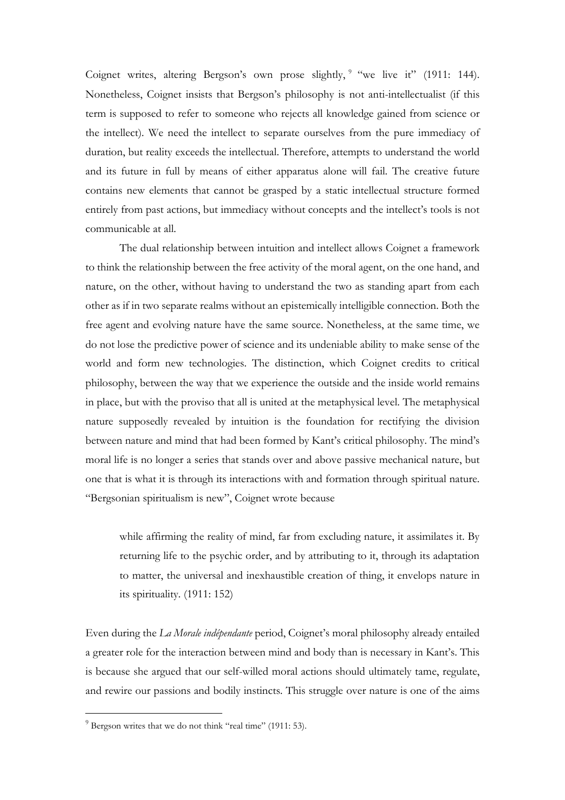Coignet writes, altering Bergson's own prose slightly, "we live it" (1911: 144). Nonetheless, Coignet insists that Bergson's philosophy is not anti-intellectualist (if this term is supposed to refer to someone who rejects all knowledge gained from science or the intellect). We need the intellect to separate ourselves from the pure immediacy of duration, but reality exceeds the intellectual. Therefore, attempts to understand the world and its future in full by means of either apparatus alone will fail. The creative future contains new elements that cannot be grasped by a static intellectual structure formed entirely from past actions, but immediacy without concepts and the intellect's tools is not communicable at all.

The dual relationship between intuition and intellect allows Coignet a framework to think the relationship between the free activity of the moral agent, on the one hand, and nature, on the other, without having to understand the two as standing apart from each other as if in two separate realms without an epistemically intelligible connection. Both the free agent and evolving nature have the same source. Nonetheless, at the same time, we do not lose the predictive power of science and its undeniable ability to make sense of the world and form new technologies. The distinction, which Coignet credits to critical philosophy, between the way that we experience the outside and the inside world remains in place, but with the proviso that all is united at the metaphysical level. The metaphysical nature supposedly revealed by intuition is the foundation for rectifying the division between nature and mind that had been formed by Kant's critical philosophy. The mind's moral life is no longer a series that stands over and above passive mechanical nature, but one that is what it is through its interactions with and formation through spiritual nature. "Bergsonian spiritualism is new", Coignet wrote because

while affirming the reality of mind, far from excluding nature, it assimilates it. By returning life to the psychic order, and by attributing to it, through its adaptation to matter, the universal and inexhaustible creation of thing, it envelops nature in its spirituality. (1911: 152)

Even during the *La Morale indépendante* period, Coignet's moral philosophy already entailed a greater role for the interaction between mind and body than is necessary in Kant's. This is because she argued that our self-willed moral actions should ultimately tame, regulate, and rewire our passions and bodily instincts. This struggle over nature is one of the aims

 $9$  Bergson writes that we do not think "real time" (1911: 53).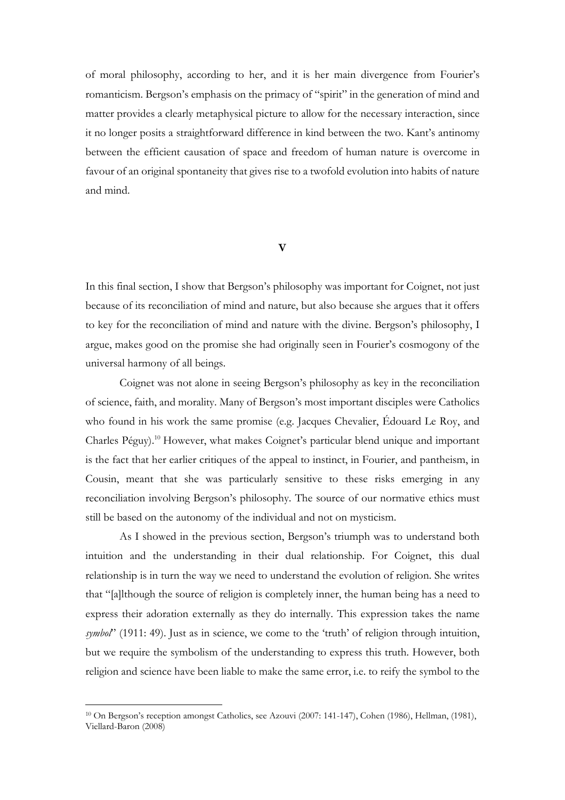of moral philosophy, according to her, and it is her main divergence from Fourier's romanticism. Bergson's emphasis on the primacy of "spirit" in the generation of mind and matter provides a clearly metaphysical picture to allow for the necessary interaction, since it no longer posits a straightforward difference in kind between the two. Kant's antinomy between the efficient causation of space and freedom of human nature is overcome in favour of an original spontaneity that gives rise to a twofold evolution into habits of nature and mind.

### **V**

In this final section, I show that Bergson's philosophy was important for Coignet, not just because of its reconciliation of mind and nature, but also because she argues that it offers to key for the reconciliation of mind and nature with the divine. Bergson's philosophy, I argue, makes good on the promise she had originally seen in Fourier's cosmogony of the universal harmony of all beings.

Coignet was not alone in seeing Bergson's philosophy as key in the reconciliation of science, faith, and morality. Many of Bergson's most important disciples were Catholics who found in his work the same promise (e.g. Jacques Chevalier, Édouard Le Roy, and Charles Péguy). <sup>10</sup> However, what makes Coignet's particular blend unique and important is the fact that her earlier critiques of the appeal to instinct, in Fourier, and pantheism, in Cousin, meant that she was particularly sensitive to these risks emerging in any reconciliation involving Bergson's philosophy. The source of our normative ethics must still be based on the autonomy of the individual and not on mysticism.

As I showed in the previous section, Bergson's triumph was to understand both intuition and the understanding in their dual relationship. For Coignet, this dual relationship is in turn the way we need to understand the evolution of religion. She writes that "[a]lthough the source of religion is completely inner, the human being has a need to express their adoration externally as they do internally. This expression takes the name *symbol*" (1911: 49). Just as in science, we come to the 'truth' of religion through intuition, but we require the symbolism of the understanding to express this truth. However, both religion and science have been liable to make the same error, i.e. to reify the symbol to the

<sup>10</sup> On Bergson's reception amongst Catholics, see Azouvi (2007: 141-147), Cohen (1986), Hellman, (1981), Viellard-Baron (2008)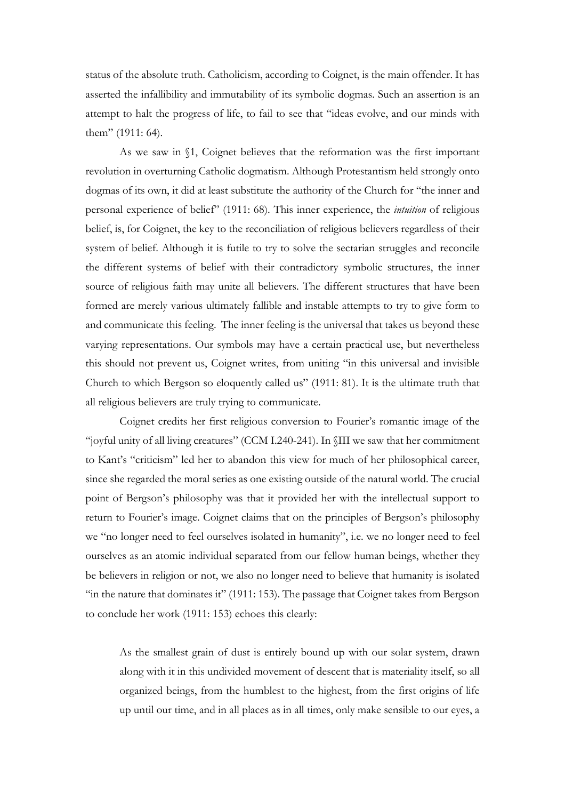status of the absolute truth. Catholicism, according to Coignet, is the main offender. It has asserted the infallibility and immutability of its symbolic dogmas. Such an assertion is an attempt to halt the progress of life, to fail to see that "ideas evolve, and our minds with them" (1911: 64).

As we saw in §1, Coignet believes that the reformation was the first important revolution in overturning Catholic dogmatism. Although Protestantism held strongly onto dogmas of its own, it did at least substitute the authority of the Church for "the inner and personal experience of belief" (1911: 68). This inner experience, the *intuition* of religious belief, is, for Coignet, the key to the reconciliation of religious believers regardless of their system of belief. Although it is futile to try to solve the sectarian struggles and reconcile the different systems of belief with their contradictory symbolic structures, the inner source of religious faith may unite all believers. The different structures that have been formed are merely various ultimately fallible and instable attempts to try to give form to and communicate this feeling. The inner feeling is the universal that takes us beyond these varying representations. Our symbols may have a certain practical use, but nevertheless this should not prevent us, Coignet writes, from uniting "in this universal and invisible Church to which Bergson so eloquently called us" (1911: 81). It is the ultimate truth that all religious believers are truly trying to communicate.

Coignet credits her first religious conversion to Fourier's romantic image of the "joyful unity of all living creatures" (CCM I.240-241). In §III we saw that her commitment to Kant's "criticism" led her to abandon this view for much of her philosophical career, since she regarded the moral series as one existing outside of the natural world. The crucial point of Bergson's philosophy was that it provided her with the intellectual support to return to Fourier's image. Coignet claims that on the principles of Bergson's philosophy we "no longer need to feel ourselves isolated in humanity", i.e. we no longer need to feel ourselves as an atomic individual separated from our fellow human beings, whether they be believers in religion or not, we also no longer need to believe that humanity is isolated "in the nature that dominates it" (1911: 153). The passage that Coignet takes from Bergson to conclude her work (1911: 153) echoes this clearly:

As the smallest grain of dust is entirely bound up with our solar system, drawn along with it in this undivided movement of descent that is materiality itself, so all organized beings, from the humblest to the highest, from the first origins of life up until our time, and in all places as in all times, only make sensible to our eyes, a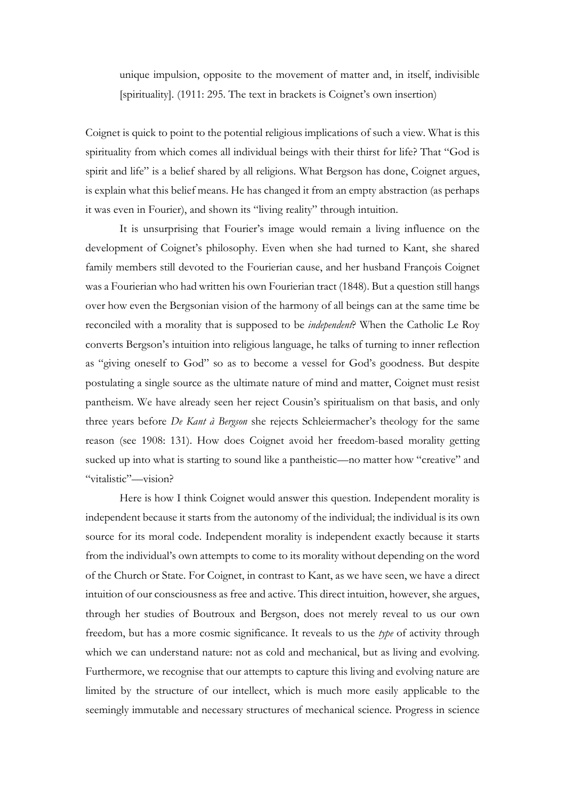unique impulsion, opposite to the movement of matter and, in itself, indivisible [spirituality]. (1911: 295. The text in brackets is Coignet's own insertion)

Coignet is quick to point to the potential religious implications of such a view. What is this spirituality from which comes all individual beings with their thirst for life? That "God is spirit and life" is a belief shared by all religions. What Bergson has done, Coignet argues, is explain what this belief means. He has changed it from an empty abstraction (as perhaps it was even in Fourier), and shown its "living reality" through intuition.

It is unsurprising that Fourier's image would remain a living influence on the development of Coignet's philosophy. Even when she had turned to Kant, she shared family members still devoted to the Fourierian cause, and her husband François Coignet was a Fourierian who had written his own Fourierian tract (1848). But a question still hangs over how even the Bergsonian vision of the harmony of all beings can at the same time be reconciled with a morality that is supposed to be *independent*? When the Catholic Le Roy converts Bergson's intuition into religious language, he talks of turning to inner reflection as "giving oneself to God" so as to become a vessel for God's goodness. But despite postulating a single source as the ultimate nature of mind and matter, Coignet must resist pantheism. We have already seen her reject Cousin's spiritualism on that basis, and only three years before *De Kant à Bergson* she rejects Schleiermacher's theology for the same reason (see 1908: 131). How does Coignet avoid her freedom-based morality getting sucked up into what is starting to sound like a pantheistic—no matter how "creative" and "vitalistic"—vision?

Here is how I think Coignet would answer this question. Independent morality is independent because it starts from the autonomy of the individual; the individual is its own source for its moral code. Independent morality is independent exactly because it starts from the individual's own attempts to come to its morality without depending on the word of the Church or State. For Coignet, in contrast to Kant, as we have seen, we have a direct intuition of our consciousness as free and active. This direct intuition, however, she argues, through her studies of Boutroux and Bergson, does not merely reveal to us our own freedom, but has a more cosmic significance. It reveals to us the *type* of activity through which we can understand nature: not as cold and mechanical, but as living and evolving. Furthermore, we recognise that our attempts to capture this living and evolving nature are limited by the structure of our intellect, which is much more easily applicable to the seemingly immutable and necessary structures of mechanical science. Progress in science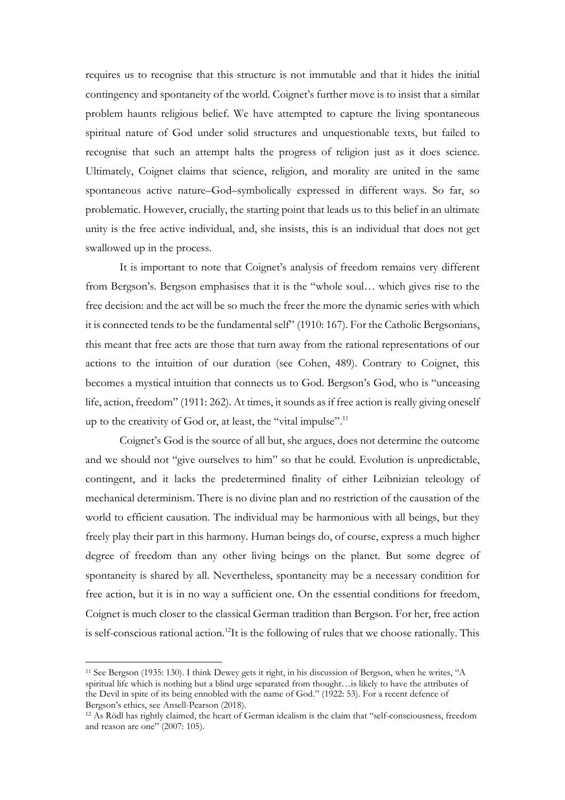requires us to recognise that this structure is not immutable and that it hides the initial contingency and spontaneity of the world. Coignet's further move is to insist that a similar problem haunts religious belief. We have attempted to capture the living spontaneous spiritual nature of God under solid structures and unquestionable texts, but failed to recognise that such an attempt halts the progress of religion just as it does science. Ultimately, Coignet claims that science, religion, and morality are united in the same spontaneous active nature–God–symbolically expressed in different ways. So far, so problematic. However, crucially, the starting point that leads us to this belief in an ultimate unity is the free active individual, and, she insists, this is an individual that does not get swallowed up in the process.

It is important to note that Coignet's analysis of freedom remains very different from Bergson's. Bergson emphasises that it is the "whole soul… which gives rise to the free decision: and the act will be so much the freer the more the dynamic series with which it is connected tends to be the fundamental self" (1910: 167). For the Catholic Bergsonians, this meant that free acts are those that turn away from the rational representations of our actions to the intuition of our duration (see Cohen, 489). Contrary to Coignet, this becomes a mystical intuition that connects us to God. Bergson's God, who is "unceasing life, action, freedom" (1911: 262). At times, it sounds as if free action is really giving oneself up to the creativity of God or, at least, the "vital impulse".<sup>11</sup>

Coignet's God is the source of all but, she argues, does not determine the outcome and we should not "give ourselves to him" so that he could. Evolution is unpredictable, contingent, and it lacks the predetermined finality of either Leibnizian teleology of mechanical determinism. There is no divine plan and no restriction of the causation of the world to efficient causation. The individual may be harmonious with all beings, but they freely play their part in this harmony. Human beings do, of course, express a much higher degree of freedom than any other living beings on the planet. But some degree of spontaneity is shared by all. Nevertheless, spontaneity may be a necessary condition for free action, but it is in no way a sufficient one. On the essential conditions for freedom, Coignet is much closer to the classical German tradition than Bergson. For her, free action is self-conscious rational action.<sup>12</sup>It is the following of rules that we choose rationally. This

<sup>11</sup> See Bergson (1935: 130). I think Dewey gets it right, in his discussion of Bergson, when he writes, "A spiritual life which is nothing but a blind urge separated from thought…is likely to have the attributes of the Devil in spite of its being ennobled with the name of God." (1922: 53). For a recent defence of Bergson's ethics, see Ansell-Pearson (2018).

<sup>&</sup>lt;sup>12</sup> As Rödl has rightly claimed, the heart of German idealism is the claim that "self-consciousness, freedom and reason are one" (2007: 105).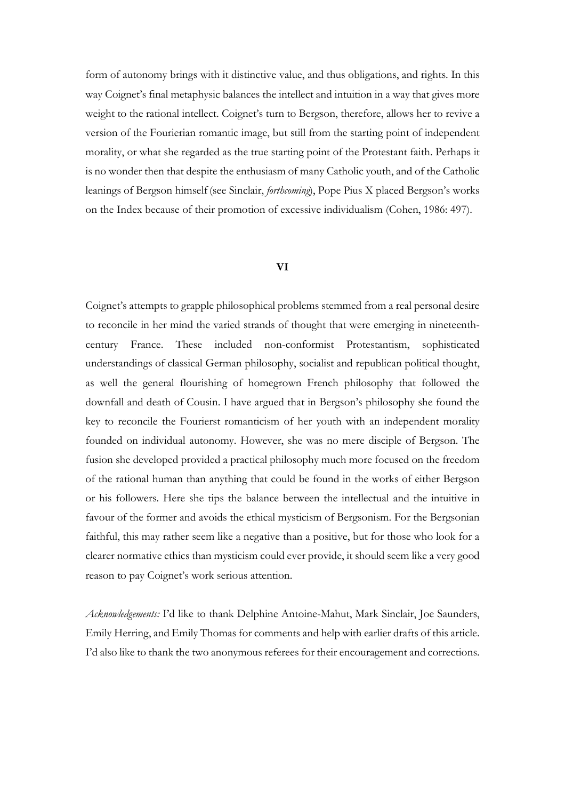form of autonomy brings with it distinctive value, and thus obligations, and rights. In this way Coignet's final metaphysic balances the intellect and intuition in a way that gives more weight to the rational intellect. Coignet's turn to Bergson, therefore, allows her to revive a version of the Fourierian romantic image, but still from the starting point of independent morality, or what she regarded as the true starting point of the Protestant faith. Perhaps it is no wonder then that despite the enthusiasm of many Catholic youth, and of the Catholic leanings of Bergson himself(see Sinclair, *forthcoming*), Pope Pius X placed Bergson's works on the Index because of their promotion of excessive individualism (Cohen, 1986: 497).

#### **VI**

Coignet's attempts to grapple philosophical problems stemmed from a real personal desire to reconcile in her mind the varied strands of thought that were emerging in nineteenthcentury France. These included non-conformist Protestantism, sophisticated understandings of classical German philosophy, socialist and republican political thought, as well the general flourishing of homegrown French philosophy that followed the downfall and death of Cousin. I have argued that in Bergson's philosophy she found the key to reconcile the Fourierst romanticism of her youth with an independent morality founded on individual autonomy. However, she was no mere disciple of Bergson. The fusion she developed provided a practical philosophy much more focused on the freedom of the rational human than anything that could be found in the works of either Bergson or his followers. Here she tips the balance between the intellectual and the intuitive in favour of the former and avoids the ethical mysticism of Bergsonism. For the Bergsonian faithful, this may rather seem like a negative than a positive, but for those who look for a clearer normative ethics than mysticism could ever provide, it should seem like a very good reason to pay Coignet's work serious attention.

*Acknowledgements:* I'd like to thank Delphine Antoine-Mahut, Mark Sinclair, Joe Saunders, Emily Herring, and Emily Thomas for comments and help with earlier drafts of this article. I'd also like to thank the two anonymous referees for their encouragement and corrections.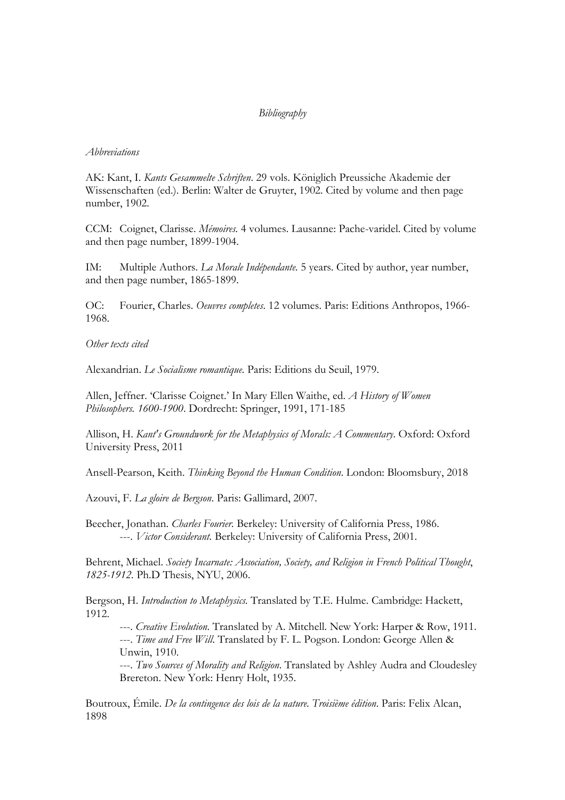### *Bibliography*

### *Abbreviations*

AK: Kant, I. *Kants Gesammelte Schriften*. 29 vols. Königlich Preussiche Akademie der Wissenschaften (ed.). Berlin: Walter de Gruyter, 1902. Cited by volume and then page number, 1902.

CCM: Coignet, Clarisse. *Mémoires.* 4 volumes. Lausanne: Pache-varidel. Cited by volume and then page number, 1899-1904.

IM: Multiple Authors. *La Morale Indépendante.* 5 years. Cited by author, year number, and then page number, 1865-1899.

OC: Fourier, Charles. *Oeuvres completes*. 12 volumes. Paris: Editions Anthropos, 1966- 1968.

### *Other texts cited*

Alexandrian. *Le Socialisme romantique.* Paris: Editions du Seuil, 1979.

Allen, Jeffner. 'Clarisse Coignet.' In Mary Ellen Waithe, ed. *A History of Women Philosophers. 1600-1900*. Dordrecht: Springer, 1991, 171-185

Allison, H. *Kant's Groundwork for the Metaphysics of Morals: A Commentary*. Oxford: Oxford University Press, 2011

Ansell-Pearson, Keith. *Thinking Beyond the Human Condition*. London: Bloomsbury, 2018

Azouvi, F. *La gloire de Bergson*. Paris: Gallimard, 2007.

Beecher, Jonathan. *Charles Fourier.* Berkeley: University of California Press, 1986. ---. *Victor Considerant.* Berkeley: University of California Press, 2001.

Behrent, Michael. *Society Incarnate: Association, Society, and Religion in French Political Thought*, *1825-1912.* Ph.D Thesis, NYU, 2006.

Bergson, H. *Introduction to Metaphysics.* Translated by T.E. Hulme. Cambridge: Hackett, 1912.

---. *Creative Evolution*. Translated by A. Mitchell. New York: Harper & Row, 1911. ---. *Time and Free Will*. Translated by F. L. Pogson. London: George Allen & Unwin, 1910.

---. *Two Sources of Morality and Religion*. Translated by Ashley Audra and Cloudesley Brereton. New York: Henry Holt, 1935.

Boutroux, Émile. *De la contingence des lois de la nature. Troisième édition*. Paris: Felix Alcan, 1898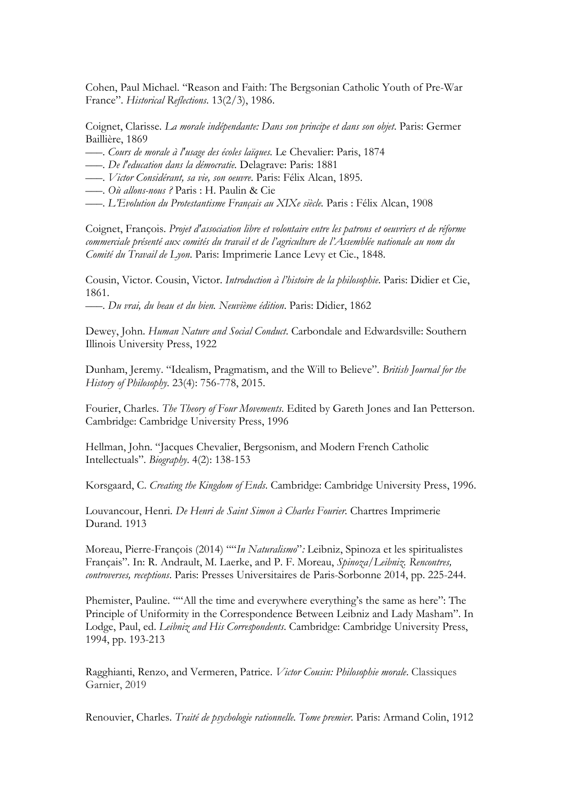Cohen, Paul Michael. "Reason and Faith: The Bergsonian Catholic Youth of Pre-War France". *Historical Reflections*. 13(2/3), 1986.

Coignet, Clarisse. *La morale indépendante: Dans son principe et dans son objet*. Paris: Germer Baillière, 1869

- –––. *Cours de morale à l'usage des écoles laïques.* Le Chevalier: Paris, 1874
- –––. *De l'education dans la démocratie.* Delagrave: Paris: 1881
- –––. *Victor Considérant, sa vie, son oeuvre*. Paris: Félix Alcan, 1895.
- –––. *Où allons-nous ?* Paris : H. Paulin & Cie
- –––. *L'Evolution du Protestantisme Français au XIXe siècle.* Paris : Félix Alcan, 1908

Coignet, François. *Projet d'association libre et volontaire entre les patrons et oeuvriers et de réforme commerciale présenté aux comités du travail et de l'agriculture de l'Assemblée nationale au nom du Comité du Travail de Lyon*. Paris: Imprimerie Lance Levy et Cie., 1848.

Cousin, Victor. Cousin, Victor. *Introduction à l'histoire de la philosophie*. Paris: Didier et Cie, 1861.

–––. *Du vrai, du beau et du bien. Neuvième édition*. Paris: Didier, 1862

Dewey, John. *Human Nature and Social Conduct*. Carbondale and Edwardsville: Southern Illinois University Press, 1922

Dunham, Jeremy. "Idealism, Pragmatism, and the Will to Believe". *British Journal for the History of Philosophy*. 23(4): 756-778, 2015.

Fourier, Charles. *The Theory of Four Movements*. Edited by Gareth Jones and Ian Petterson. Cambridge: Cambridge University Press, 1996

Hellman, John. "Jacques Chevalier, Bergsonism, and Modern French Catholic Intellectuals". *Biography*. 4(2): 138-153

Korsgaard, C. *Creating the Kingdom of Ends*. Cambridge: Cambridge University Press, 1996.

Louvancour, Henri. *De Henri de Saint Simon à Charles Fourier.* Chartres Imprimerie Durand. 1913

Moreau, Pierre-François (2014) ""*In Naturalismo*"*:* Leibniz, Spinoza et les spiritualistes Français". In: R. Andrault, M. Laerke, and P. F. Moreau, *Spinoza/Leibniz. Rencontres, controverses, receptions*. Paris: Presses Universitaires de Paris-Sorbonne 2014, pp. 225-244.

Phemister, Pauline. ""All the time and everywhere everything's the same as here": The Principle of Uniformity in the Correspondence Between Leibniz and Lady Masham". In Lodge, Paul, ed. *Leibniz and His Correspondents*. Cambridge: Cambridge University Press, 1994, pp. 193-213

Ragghianti, Renzo, and Vermeren, Patrice. *Victor Cousin: Philosophie morale*. Classiques Garnier, 2019

Renouvier, Charles. *Traité de psychologie rationnelle. Tome premier*. Paris: Armand Colin, 1912